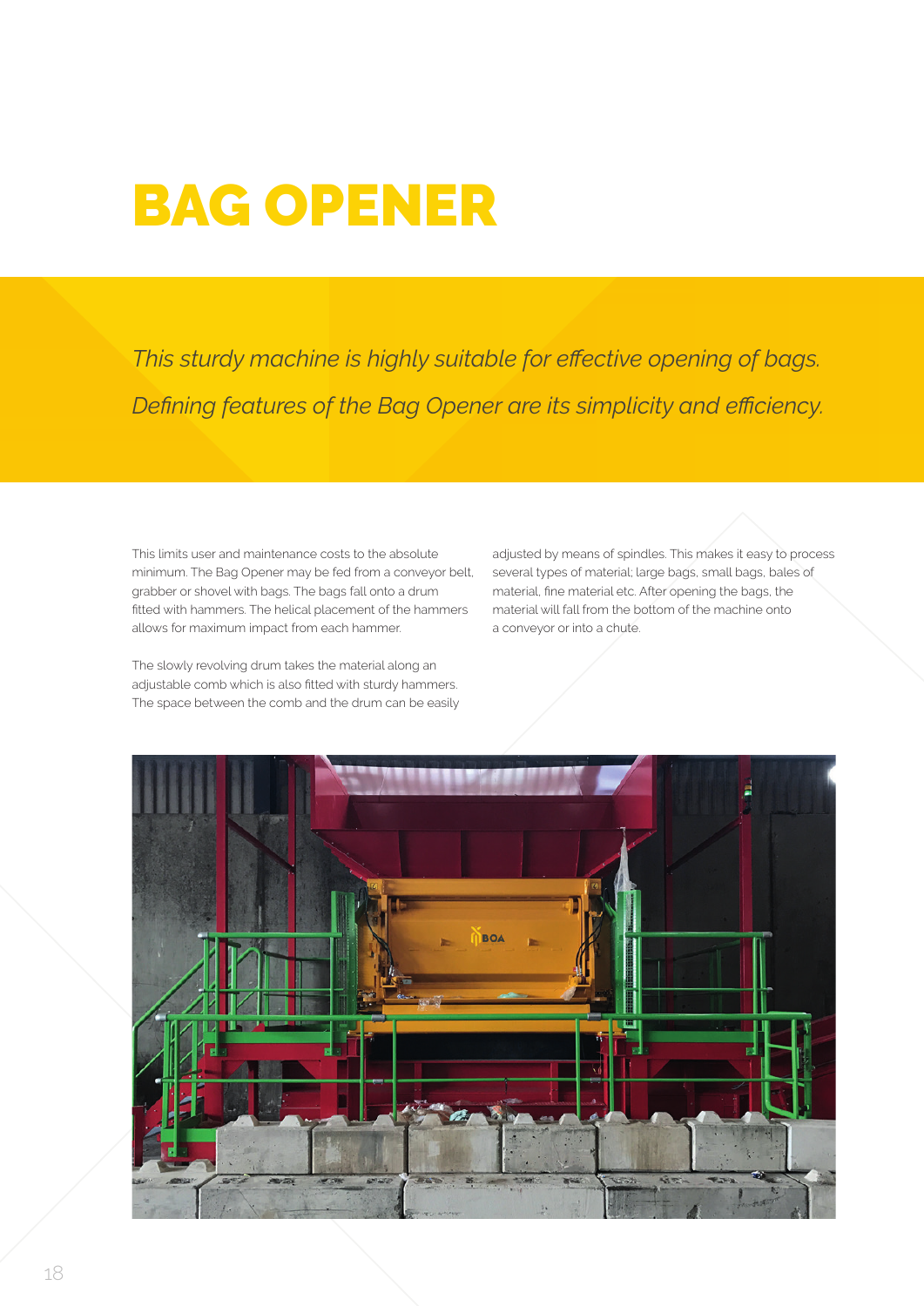## BAG OPENER

*This sturdy machine is highly suitable for effective opening of bags. Defining features of the Bag Opener are its simplicity and efficiency.*

This limits user and maintenance costs to the absolute minimum. The Bag Opener may be fed from a conveyor belt, grabber or shovel with bags. The bags fall onto a drum fitted with hammers. The helical placement of the hammers allows for maximum impact from each hammer.

The slowly revolving drum takes the material along an adjustable comb which is also fitted with sturdy hammers. The space between the comb and the drum can be easily adjusted by means of spindles. This makes it easy to process several types of material; large bags, small bags, bales of material, fine material etc. After opening the bags, the material will fall from the bottom of the machine onto a conveyor or into a chute.